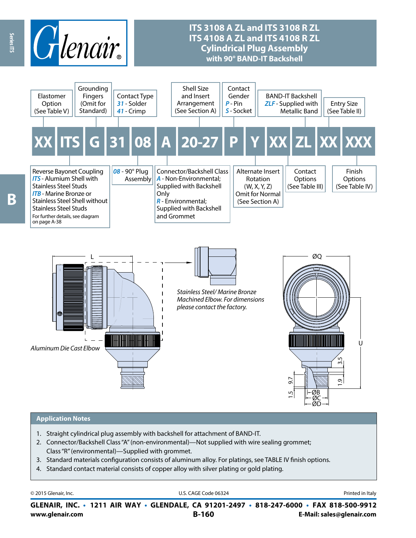

## **ITS 3108 A ZL and ITS 3108 R ZL ITS 4108 A ZL and ITS 4108 R ZL Cylindrical Plug Assembly with 90° BAND-IT Backshell**



#### **Application Notes**

- 1. Straight cylindrical plug assembly with backshell for attachment of BAND-IT.
- 2. Connector/Backshell Class "A" (non-environmental)—Not supplied with wire sealing grommet; Class "R" (environmental)—Supplied with grommet.
- 3. Standard materials configuration consists of aluminum alloy. For platings, see TABLE IV finish options.
- 4. Standard contact material consists of copper alloy with silver plating or gold plating.

| © 2015 Glenair, Inc. | U.S. CAGE Code 06324                                                                     | Printed in Italy |
|----------------------|------------------------------------------------------------------------------------------|------------------|
|                      | GLENAIR, INC. • 1211 AIR WAY • GLENDALE, CA 91201-2497 • 818-247-6000 • FAX 818-500-9912 |                  |

**www.glenair.com B-160 E-Mail: sales@glenair.com GLENAIR, INC. • 1211 AIR WAY • GLENDALE, CA 91201-2497 • 818-247-6000 • FAX 818-500-9912**